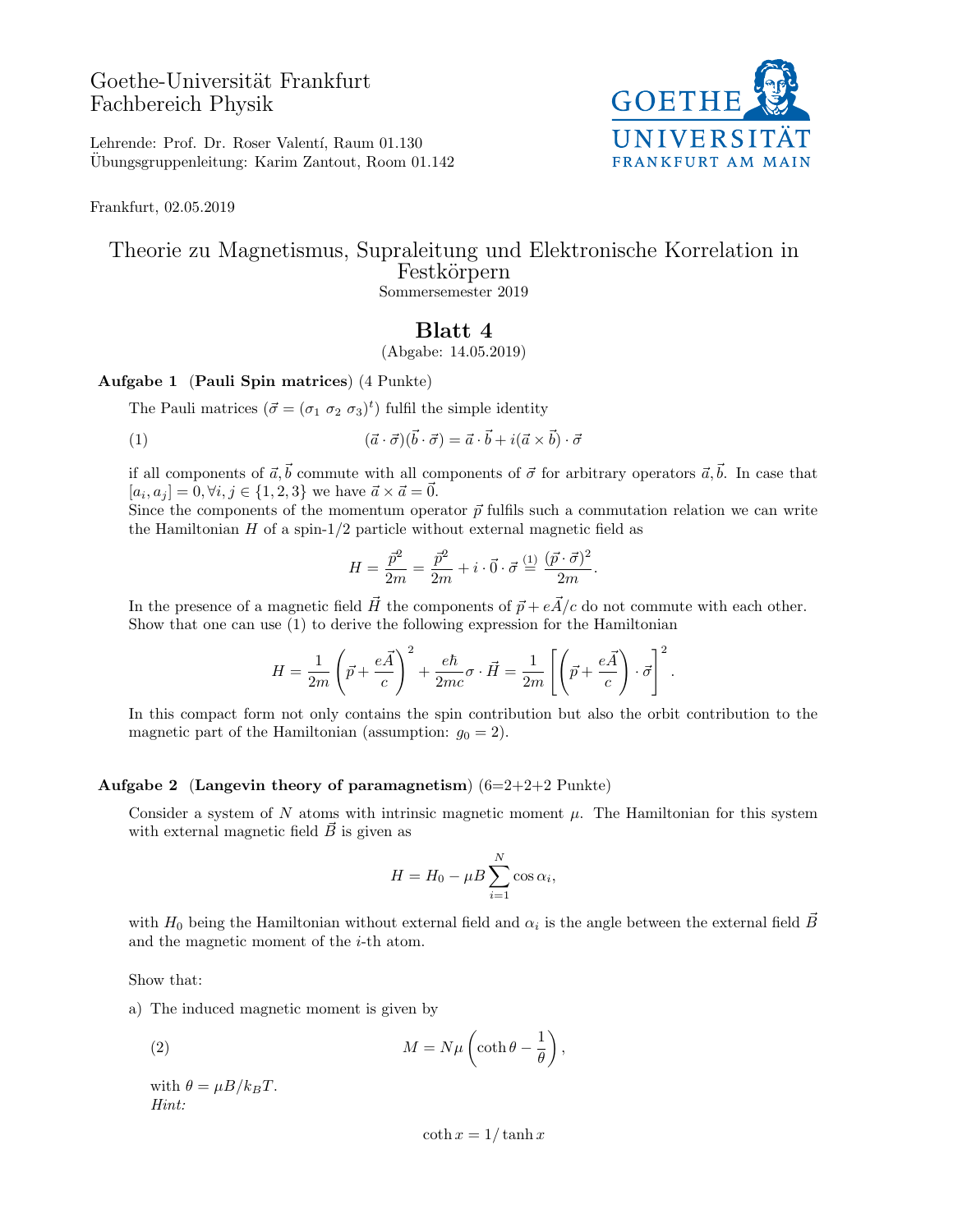# Goethe-Universität Frankfurt Fachbereich Physik



Lehrende: Prof. Dr. Roser Valentí, Raum 01.130 Ubungsgruppenleitung: Karim Zantout, Room 01.142 ¨

Frankfurt, 02.05.2019

### Theorie zu Magnetismus, Supraleitung und Elektronische Korrelation in Festkörpern Sommersemester 2019

## Blatt 4

(Abgabe: 14.05.2019)

#### Aufgabe 1 (Pauli Spin matrices) (4 Punkte)

The Pauli matrices  $(\vec{\sigma} = (\sigma_1 \ \sigma_2 \ \sigma_3)^t)$  fulfil the simple identity

(1) 
$$
(\vec{a} \cdot \vec{\sigma})(\vec{b} \cdot \vec{\sigma}) = \vec{a} \cdot \vec{b} + i(\vec{a} \times \vec{b}) \cdot \vec{\sigma}
$$

if all components of  $\vec{a}, \vec{b}$  commute with all components of  $\vec{\sigma}$  for arbitrary operators  $\vec{a}, \vec{b}$ . In case that  $[a_i, a_j] = 0, \forall i, j \in \{1, 2, 3\}$  we have  $\vec{a} \times \vec{a} = \vec{0}$ .

Since the components of the momentum operator  $\vec{p}$  fulfils such a commutation relation we can write the Hamiltonian  $H$  of a spin-1/2 particle without external magnetic field as

$$
H = \frac{\vec{p}^2}{2m} = \frac{\vec{p}^2}{2m} + i \cdot \vec{0} \cdot \vec{\sigma} \stackrel{(1)}{=} \frac{(\vec{p} \cdot \vec{\sigma})^2}{2m}.
$$

In the presence of a magnetic field  $\vec{H}$  the components of  $\vec{p} + e\vec{A}/c$  do not commute with each other. Show that one can use (1) to derive the following expression for the Hamiltonian

$$
H = \frac{1}{2m} \left( \vec{p} + \frac{e\vec{A}}{c} \right)^2 + \frac{e\hbar}{2mc} \sigma \cdot \vec{H} = \frac{1}{2m} \left[ \left( \vec{p} + \frac{e\vec{A}}{c} \right) \cdot \vec{\sigma} \right]^2.
$$

In this compact form not only contains the spin contribution but also the orbit contribution to the magnetic part of the Hamiltonian (assumption:  $g_0 = 2$ ).

### Aufgabe 2 (Langevin theory of paramagnetism)  $(6=2+2+2 \text{ Punkte})$

Consider a system of N atoms with intrinsic magnetic moment  $\mu$ . The Hamiltonian for this system with external magnetic field  $\vec{B}$  is given as

$$
H = H_0 - \mu B \sum_{i=1}^{N} \cos \alpha_i,
$$

with  $H_0$  being the Hamiltonian without external field and  $\alpha_i$  is the angle between the external field  $\vec{B}$ and the magnetic moment of the  $i$ -th atom.

Show that:

a) The induced magnetic moment is given by

(2) 
$$
M = N\mu \left(\coth \theta - \frac{1}{\theta}\right),
$$

with  $\theta = \mu B / k_B T$ . Hint:

 $\coth x = 1/\tanh x$